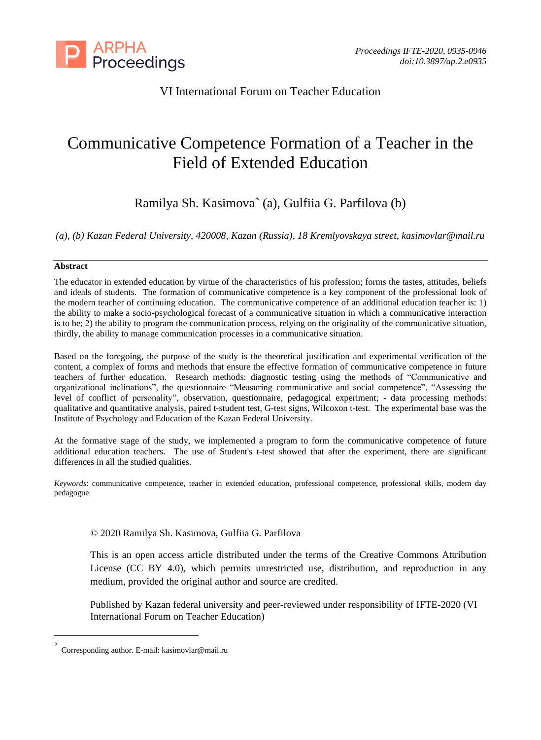

# VI International Forum on Teacher Education

# Communicative Competence Formation of a Teacher in the Field of Extended Education

Ramilya Sh. Kasimova\* (a), Gulfiia G. Parfilova (b)

*(a), (b) Kazan Federal University, 420008, Kazan (Russia), 18 Kremlyovskaya street, kasimovlar@mail.ru*

## **Abstract**

The educator in extended education by virtue of the characteristics of his profession; forms the tastes, attitudes, beliefs and ideals of students. The formation of communicative competence is a key component of the professional look of the modern teacher of continuing education. The communicative competence of an additional education teacher is: 1) the ability to make a socio-psychological forecast of a communicative situation in which a communicative interaction is to be; 2) the ability to program the communication process, relying on the originality of the communicative situation, thirdly, the ability to manage communication processes in a communicative situation.

Based on the foregoing, the purpose of the study is the theoretical justification and experimental verification of the content, a complex of forms and methods that ensure the effective formation of communicative competence in future teachers of further education. Research methods: diagnostic testing using the methods of "Communicative and organizational inclinations", the questionnaire "Measuring communicative and social competence", "Assessing the level of conflict of personality", observation, questionnaire, pedagogical experiment; - data processing methods: qualitative and quantitative analysis, paired t-student test, G-test signs, Wilcoxon t-test. The experimental base was the Institute of Psychology and Education of the Kazan Federal University.

At the formative stage of the study, we implemented a program to form the communicative competence of future additional education teachers. The use of Student's t-test showed that after the experiment, there are significant differences in all the studied qualities.

*Keywords*: communicative competence, teacher in extended education, professional competence, professional skills, modern day pedagogue.

# © 2020 Ramilya Sh. Kasimova, Gulfiia G. Parfilova

This is an open access article distributed under the terms of the Creative Commons Attribution License (CC BY 4.0), which permits unrestricted use, distribution, and reproduction in any medium, provided the original author and source are credited.

Published by Kazan federal university and peer-reviewed under responsibility of IFTE-2020 (VI International Forum on Teacher Education)

<sup>\*</sup> Corresponding author. E-mail: kasimovlar@mail.ru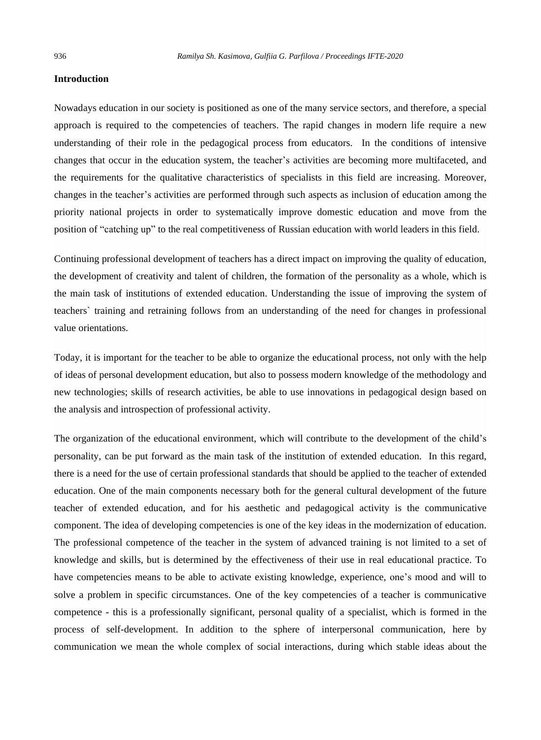#### **Introduction**

Nowadays education in our society is positioned as one of the many service sectors, and therefore, a special approach is required to the competencies of teachers. The rapid changes in modern life require a new understanding of their role in the pedagogical process from educators. In the conditions of intensive changes that occur in the education system, the teacher's activities are becoming more multifaceted, and the requirements for the qualitative characteristics of specialists in this field are increasing. Moreover, changes in the teacher's activities are performed through such aspects as inclusion of education among the priority national projects in order to systematically improve domestic education and move from the position of "catching up" to the real competitiveness of Russian education with world leaders in this field.

Continuing professional development of teachers has a direct impact on improving the quality of education, the development of creativity and talent of children, the formation of the personality as a whole, which is the main task of institutions of extended education. Understanding the issue of improving the system of teachers` training and retraining follows from an understanding of the need for changes in professional value orientations.

Today, it is important for the teacher to be able to organize the educational process, not only with the help of ideas of personal development education, but also to possess modern knowledge of the methodology and new technologies; skills of research activities, be able to use innovations in pedagogical design based on the analysis and introspection of professional activity.

The organization of the educational environment, which will contribute to the development of the child's personality, can be put forward as the main task of the institution of extended education. In this regard, there is a need for the use of certain professional standards that should be applied to the teacher of extended education. One of the main components necessary both for the general cultural development of the future teacher of extended education, and for his aesthetic and pedagogical activity is the communicative component. The idea of developing competencies is one of the key ideas in the modernization of education. The professional competence of the teacher in the system of advanced training is not limited to a set of knowledge and skills, but is determined by the effectiveness of their use in real educational practice. To have competencies means to be able to activate existing knowledge, experience, one's mood and will to solve a problem in specific circumstances. One of the key competencies of a teacher is communicative competence - this is a professionally significant, personal quality of a specialist, which is formed in the process of self-development. In addition to the sphere of interpersonal communication, here by communication we mean the whole complex of social interactions, during which stable ideas about the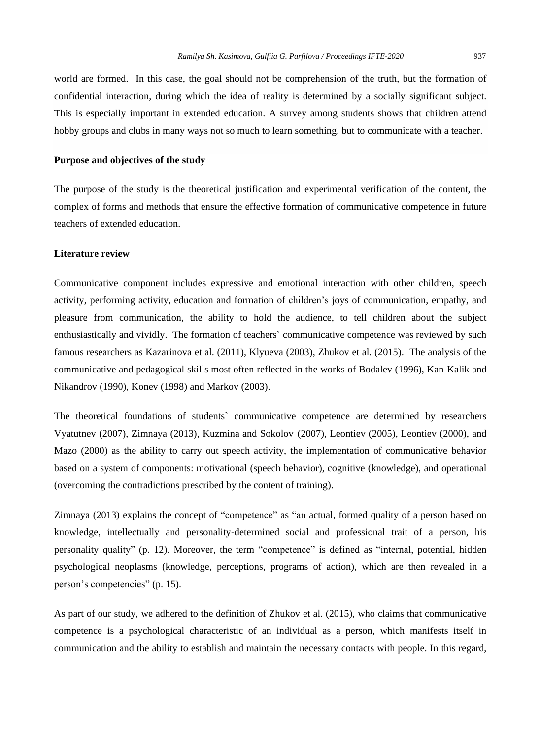world are formed. In this case, the goal should not be comprehension of the truth, but the formation of confidential interaction, during which the idea of reality is determined by a socially significant subject. This is especially important in extended education. A survey among students shows that children attend hobby groups and clubs in many ways not so much to learn something, but to communicate with a teacher.

#### **Purpose and objectives of the study**

The purpose of the study is the theoretical justification and experimental verification of the content, the complex of forms and methods that ensure the effective formation of communicative competence in future teachers of extended education.

#### **Literature review**

Communicative component includes expressive and emotional interaction with other children, speech activity, performing activity, education and formation of children's joys of communication, empathy, and pleasure from communication, the ability to hold the audience, to tell children about the subject enthusiastically and vividly. The formation of teachers` communicative competence was reviewed by such famous researchers as Kazarinova et al. (2011), Klyueva (2003), Zhukov et al. (2015). The analysis of the communicative and pedagogical skills most often reflected in the works of Bodalev (1996), Kan-Kalik and Nikandrov (1990), Konev (1998) and Markov (2003).

The theoretical foundations of students` communicative competence are determined by researchers Vyatutnev (2007), Zimnaya (2013), Kuzmina and Sokolov (2007), Leontiev (2005), Leontiev (2000), and Mazo (2000) as the ability to carry out speech activity, the implementation of communicative behavior based on a system of components: motivational (speech behavior), cognitive (knowledge), and operational (overcoming the contradictions prescribed by the content of training).

Zimnaya (2013) explains the concept of "competence" as "an actual, formed quality of a person based on knowledge, intellectually and personality-determined social and professional trait of a person, his personality quality" (p. 12). Moreover, the term "competence" is defined as "internal, potential, hidden psychological neoplasms (knowledge, perceptions, programs of action), which are then revealed in a person's competencies" (p. 15).

As part of our study, we adhered to the definition of Zhukov et al. (2015), who claims that communicative competence is a psychological characteristic of an individual as a person, which manifests itself in communication and the ability to establish and maintain the necessary contacts with people. In this regard,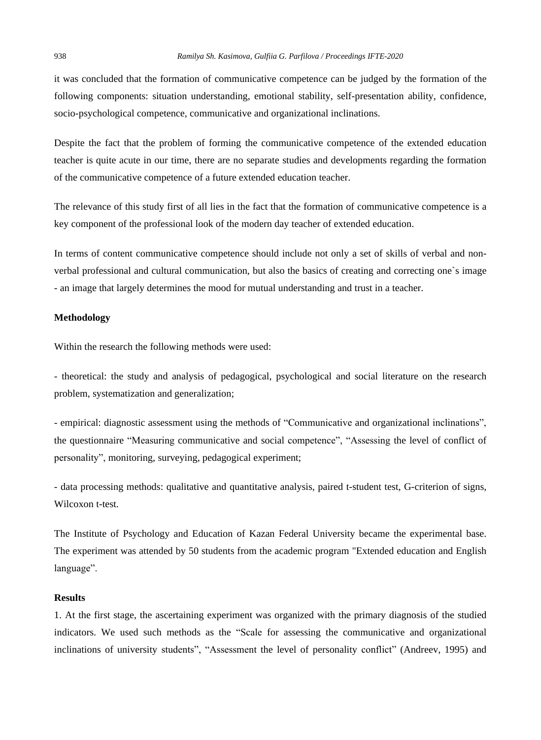it was concluded that the formation of communicative competence can be judged by the formation of the following components: situation understanding, emotional stability, self-presentation ability, confidence, socio-psychological competence, communicative and organizational inclinations.

Despite the fact that the problem of forming the communicative competence of the extended education teacher is quite acute in our time, there are no separate studies and developments regarding the formation of the communicative competence of a future extended education teacher.

The relevance of this study first of all lies in the fact that the formation of communicative competence is a key component of the professional look of the modern day teacher of extended education.

In terms of content communicative competence should include not only a set of skills of verbal and nonverbal professional and cultural communication, but also the basics of creating and correcting one`s image - an image that largely determines the mood for mutual understanding and trust in a teacher.

# **Methodology**

Within the research the following methods were used:

- theoretical: the study and analysis of pedagogical, psychological and social literature on the research problem, systematization and generalization;

- empirical: diagnostic assessment using the methods of "Communicative and organizational inclinations", the questionnaire "Measuring communicative and social competence", "Assessing the level of conflict of personality", monitoring, surveying, pedagogical experiment;

- data processing methods: qualitative and quantitative analysis, paired t-student test, G-criterion of signs, Wilcoxon t-test.

The Institute of Psychology and Education of Kazan Federal University became the experimental base. The experiment was attended by 50 students from the academic program "Extended education and English language".

#### **Results**

1. At the first stage, the ascertaining experiment was organized with the primary diagnosis of the studied indicators. We used such methods as the "Scale for assessing the communicative and organizational inclinations of university students", "Assessment the level of personality conflict" (Andreev, 1995) and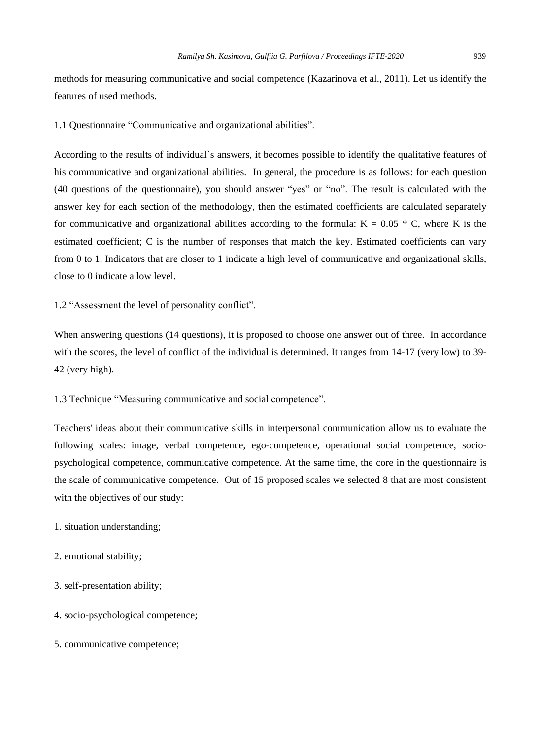methods for measuring communicative and social competence (Kazarinova et al., 2011). Let us identify the features of used methods.

1.1 Questionnaire "Communicative and organizational abilities".

According to the results of individual`s answers, it becomes possible to identify the qualitative features of his communicative and organizational abilities. In general, the procedure is as follows: for each question (40 questions of the questionnaire), you should answer "yes" or "no". The result is calculated with the answer key for each section of the methodology, then the estimated coefficients are calculated separately for communicative and organizational abilities according to the formula:  $K = 0.05 * C$ , where K is the estimated coefficient; C is the number of responses that match the key. Estimated coefficients can vary from 0 to 1. Indicators that are closer to 1 indicate a high level of communicative and organizational skills, close to 0 indicate a low level.

1.2 "Assessment the level of personality conflict".

When answering questions (14 questions), it is proposed to choose one answer out of three. In accordance with the scores, the level of conflict of the individual is determined. It ranges from 14-17 (very low) to 39-42 (very high).

1.3 Technique "Measuring communicative and social competence".

Teachers' ideas about their communicative skills in interpersonal communication allow us to evaluate the following scales: image, verbal competence, ego-competence, operational social competence, sociopsychological competence, communicative competence. At the same time, the core in the questionnaire is the scale of communicative competence. Out of 15 proposed scales we selected 8 that are most consistent with the objectives of our study:

#### 1. situation understanding;

- 2. emotional stability;
- 3. self-presentation ability;
- 4. socio-psychological competence;
- 5. communicative competence;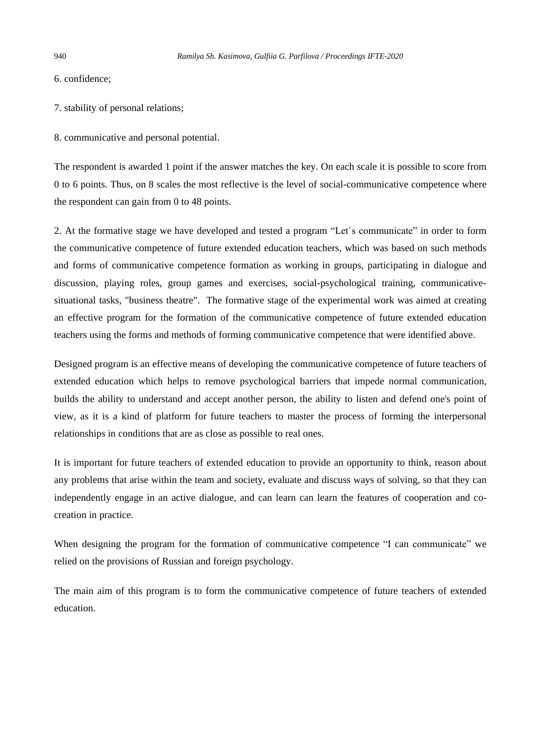6. confidence;

7. stability of personal relations;

8. communicative and personal potential.

The respondent is awarded 1 point if the answer matches the key. On each scale it is possible to score from 0 to 6 points. Thus, on 8 scales the most reflective is the level of social-communicative competence where the respondent can gain from 0 to 48 points.

2. At the formative stage we have developed and tested a program "Let`s communicate" in order to form the communicative competence of future extended education teachers, which was based on such methods and forms of communicative competence formation as working in groups, participating in dialogue and discussion, playing roles, group games and exercises, social-psychological training, communicativesituational tasks, "business theatre". The formative stage of the experimental work was aimed at creating an effective program for the formation of the communicative competence of future extended education teachers using the forms and methods of forming communicative competence that were identified above.

Designed program is an effective means of developing the communicative competence of future teachers of extended education which helps to remove psychological barriers that impede normal communication, builds the ability to understand and accept another person, the ability to listen and defend one's point of view, as it is a kind of platform for future teachers to master the process of forming the interpersonal relationships in conditions that are as close as possible to real ones.

It is important for future teachers of extended education to provide an opportunity to think, reason about any problems that arise within the team and society, evaluate and discuss ways of solving, so that they can independently engage in an active dialogue, and can learn can learn the features of cooperation and cocreation in practice.

When designing the program for the formation of communicative competence "I can communicate" we relied on the provisions of Russian and foreign psychology.

The main aim of this program is to form the communicative competence of future teachers of extended education.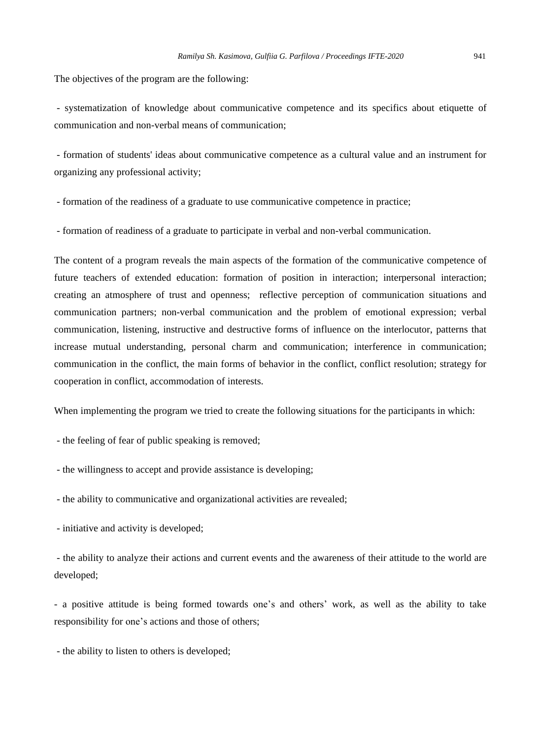The objectives of the program are the following:

- systematization of knowledge about communicative competence and its specifics about etiquette of communication and non-verbal means of communication;

- formation of students' ideas about communicative competence as a cultural value and an instrument for organizing any professional activity;

- formation of the readiness of a graduate to use communicative competence in practice;

- formation of readiness of a graduate to participate in verbal and non-verbal communication.

The content of a program reveals the main aspects of the formation of the communicative competence of future teachers of extended education: formation of position in interaction; interpersonal interaction; creating an atmosphere of trust and openness; reflective perception of communication situations and communication partners; non-verbal communication and the problem of emotional expression; verbal communication, listening, instructive and destructive forms of influence on the interlocutor, patterns that increase mutual understanding, personal charm and communication; interference in communication; communication in the conflict, the main forms of behavior in the conflict, conflict resolution; strategy for cooperation in conflict, accommodation of interests.

When implementing the program we tried to create the following situations for the participants in which:

- the feeling of fear of public speaking is removed;

- the willingness to accept and provide assistance is developing;

- the ability to communicative and organizational activities are revealed;

- initiative and activity is developed;

- the ability to analyze their actions and current events and the awareness of their attitude to the world are developed;

- a positive attitude is being formed towards one's and others' work, as well as the ability to take responsibility for one's actions and those of others;

- the ability to listen to others is developed;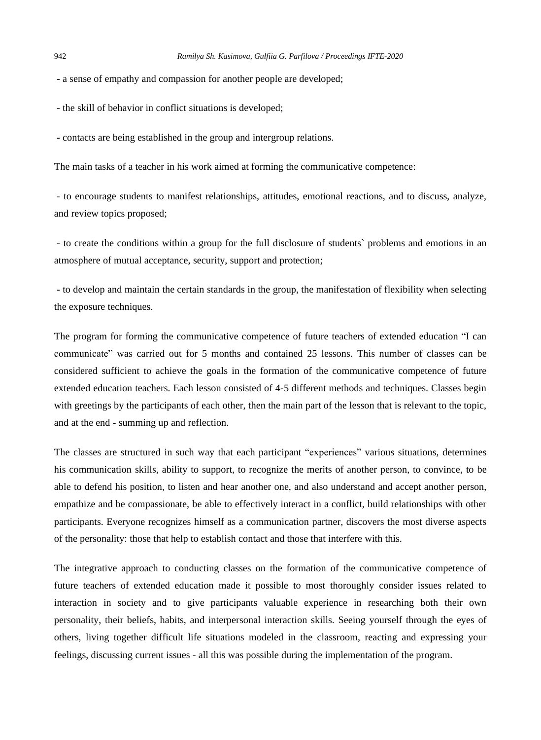- a sense of empathy and compassion for another people are developed;

- the skill of behavior in conflict situations is developed;

- contacts are being established in the group and intergroup relations.

The main tasks of a teacher in his work aimed at forming the communicative competence:

- to encourage students to manifest relationships, attitudes, emotional reactions, and to discuss, analyze, and review topics proposed;

- to create the conditions within a group for the full disclosure of students` problems and emotions in an atmosphere of mutual acceptance, security, support and protection;

- to develop and maintain the certain standards in the group, the manifestation of flexibility when selecting the exposure techniques.

The program for forming the communicative competence of future teachers of extended education "I can communicate" was carried out for 5 months and contained 25 lessons. This number of classes can be considered sufficient to achieve the goals in the formation of the communicative competence of future extended education teachers. Each lesson consisted of 4-5 different methods and techniques. Classes begin with greetings by the participants of each other, then the main part of the lesson that is relevant to the topic, and at the end - summing up and reflection.

The classes are structured in such way that each participant "experiences" various situations, determines his communication skills, ability to support, to recognize the merits of another person, to convince, to be able to defend his position, to listen and hear another one, and also understand and accept another person, empathize and be compassionate, be able to effectively interact in a conflict, build relationships with other participants. Everyone recognizes himself as a communication partner, discovers the most diverse aspects of the personality: those that help to establish contact and those that interfere with this.

The integrative approach to conducting classes on the formation of the communicative competence of future teachers of extended education made it possible to most thoroughly consider issues related to interaction in society and to give participants valuable experience in researching both their own personality, their beliefs, habits, and interpersonal interaction skills. Seeing yourself through the eyes of others, living together difficult life situations modeled in the classroom, reacting and expressing your feelings, discussing current issues - all this was possible during the implementation of the program.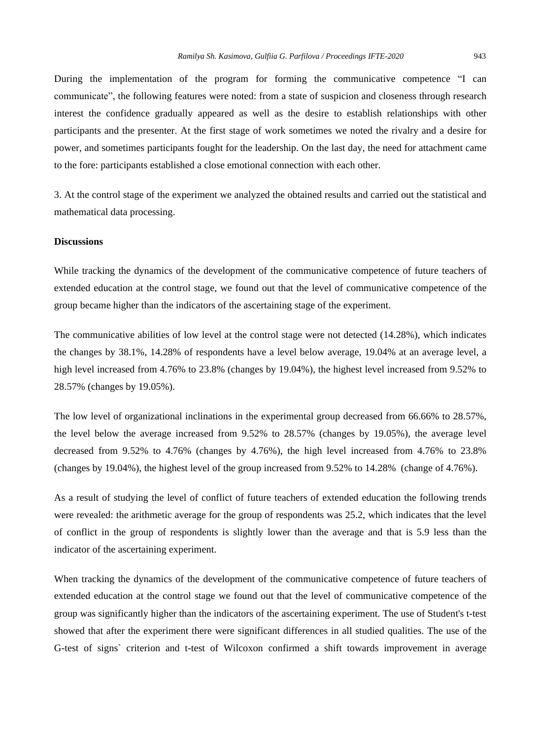During the implementation of the program for forming the communicative competence "I can communicate", the following features were noted: from a state of suspicion and closeness through research interest the confidence gradually appeared as well as the desire to establish relationships with other participants and the presenter. At the first stage of work sometimes we noted the rivalry and a desire for power, and sometimes participants fought for the leadership. On the last day, the need for attachment came to the fore: participants established a close emotional connection with each other.

3. At the control stage of the experiment we analyzed the obtained results and carried out the statistical and mathematical data processing.

# **Discussions**

While tracking the dynamics of the development of the communicative competence of future teachers of extended education at the control stage, we found out that the level of communicative competence of the group became higher than the indicators of the ascertaining stage of the experiment.

The communicative abilities of low level at the control stage were not detected (14.28%), which indicates the changes by 38.1%, 14.28% of respondents have a level below average, 19.04% at an average level, a high level increased from 4.76% to 23.8% (changes by 19.04%), the highest level increased from 9.52% to 28.57% (changes by 19.05%).

The low level of organizational inclinations in the experimental group decreased from 66.66% to 28.57%, the level below the average increased from 9.52% to 28.57% (changes by 19.05%), the average level decreased from 9.52% to 4.76% (changes by 4.76%), the high level increased from 4.76% to 23.8% (changes by 19.04%), the highest level of the group increased from 9.52% to 14.28% (change of 4.76%).

As a result of studying the level of conflict of future teachers of extended education the following trends were revealed: the arithmetic average for the group of respondents was 25.2, which indicates that the level of conflict in the group of respondents is slightly lower than the average and that is 5.9 less than the indicator of the ascertaining experiment.

When tracking the dynamics of the development of the communicative competence of future teachers of extended education at the control stage we found out that the level of communicative competence of the group was significantly higher than the indicators of the ascertaining experiment. The use of Student's t-test showed that after the experiment there were significant differences in all studied qualities. The use of the G-test of signs` criterion and t-test of Wilcoxon confirmed a shift towards improvement in average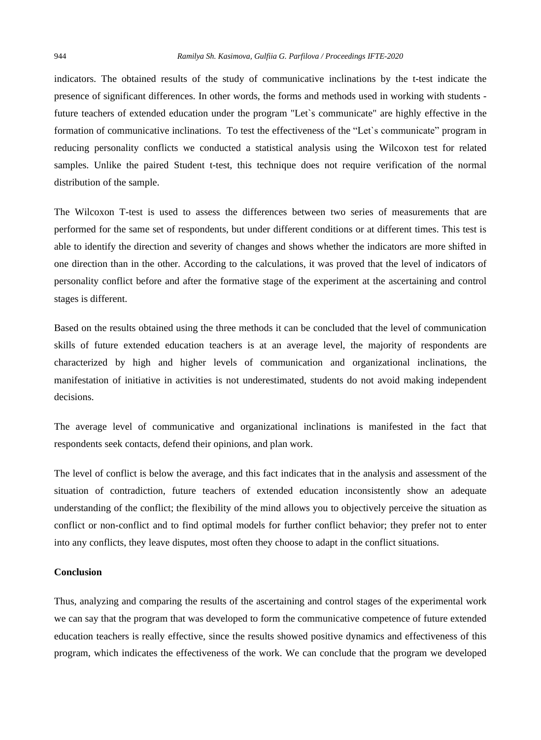indicators. The obtained results of the study of communicative inclinations by the t-test indicate the presence of significant differences. In other words, the forms and methods used in working with students future teachers of extended education under the program "Let`s communicate" are highly effective in the formation of communicative inclinations. To test the effectiveness of the "Let`s communicate" program in reducing personality conflicts we conducted a statistical analysis using the Wilcoxon test for related samples. Unlike the paired Student t-test, this technique does not require verification of the normal distribution of the sample.

The Wilcoxon T-test is used to assess the differences between two series of measurements that are performed for the same set of respondents, but under different conditions or at different times. This test is able to identify the direction and severity of changes and shows whether the indicators are more shifted in one direction than in the other. According to the calculations, it was proved that the level of indicators of personality conflict before and after the formative stage of the experiment at the ascertaining and control stages is different.

Based on the results obtained using the three methods it can be concluded that the level of communication skills of future extended education teachers is at an average level, the majority of respondents are characterized by high and higher levels of communication and organizational inclinations, the manifestation of initiative in activities is not underestimated, students do not avoid making independent decisions.

The average level of communicative and organizational inclinations is manifested in the fact that respondents seek contacts, defend their opinions, and plan work.

The level of conflict is below the average, and this fact indicates that in the analysis and assessment of the situation of contradiction, future teachers of extended education inconsistently show an adequate understanding of the conflict; the flexibility of the mind allows you to objectively perceive the situation as conflict or non-conflict and to find optimal models for further conflict behavior; they prefer not to enter into any conflicts, they leave disputes, most often they choose to adapt in the conflict situations.

#### **Conclusion**

Thus, analyzing and comparing the results of the ascertaining and control stages of the experimental work we can say that the program that was developed to form the communicative competence of future extended education teachers is really effective, since the results showed positive dynamics and effectiveness of this program, which indicates the effectiveness of the work. We can conclude that the program we developed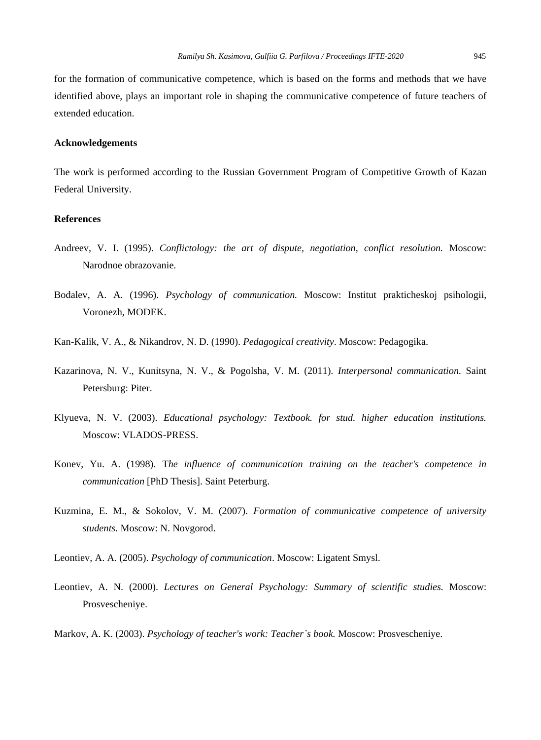for the formation of communicative competence, which is based on the forms and methods that we have identified above, plays an important role in shaping the communicative competence of future teachers of extended education.

# **Acknowledgements**

The work is performed according to the Russian Government Program of Competitive Growth of Kazan Federal University.

# **References**

- Andreev, V. I. (1995). *Conflictology: the art of dispute, negotiation, conflict resolution.* Moscow: Narodnoe obrazovanie.
- Bodalev, A. A. (1996). *Psychology of communication.* Moscow: Institut prakticheskoj psihologii, Voronezh, MODEK.
- Kan-Kalik, V. A., & Nikandrov, N. D. (1990). *Pedagogical creativity*. Moscow: Pedagogika.
- Kazarinova, N. V., Kunitsyna, N. V., & Pogolsha, V. M. (2011). *Interpersonal communication.* Saint Petersburg: Piter.
- Klyueva, N. V. (2003). *Educational psychology: Textbook. for stud. higher education institutions.* Moscow: VLADOS-PRESS.
- Konev, Yu. A. (1998). T*he influence of communication training on the teacher's competence in communication* [PhD Thesis]. Saint Peterburg.
- Kuzmina, E. M., & Sokolov, V. M. (2007). *Formation of communicative competence of university students*. Moscow: N. Novgorod.
- Leontiev, A. A. (2005). *Psychology of communication*. Moscow: Ligatent Smysl.
- Leontiev, A. N. (2000). *Lectures on General Psychology: Summary of scientific studies.* Moscow: Prosvescheniye.
- Markov, A. K. (2003). *Psychology of teacher's work: Teacher`s book.* Moscow: Prosvescheniye.